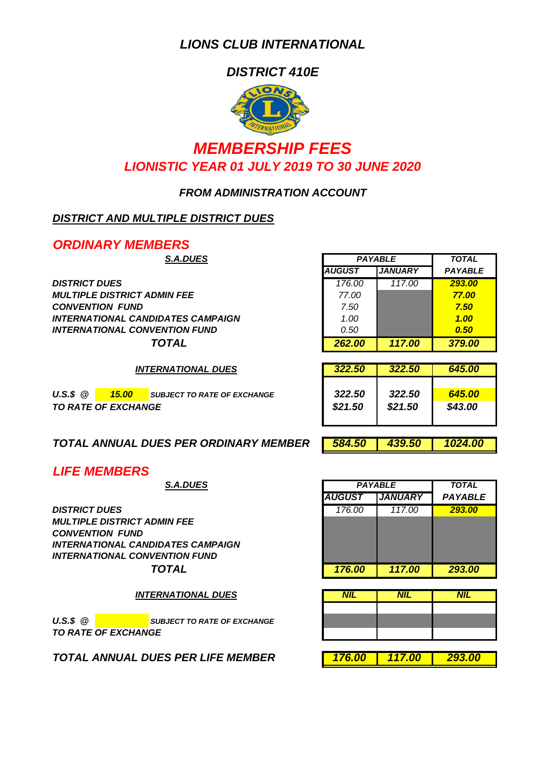*DISTRICT 410E*



## *MEMBERSHIP FEES LIONISTIC YEAR 01 JULY 2019 TO 30 JUNE 2020*

#### *FROM ADMINISTRATION ACCOUNT*

### *DISTRICT AND MULTIPLE DISTRICT DUES*

*ORDINARY MEMBERS*

 $DISTRICT DUES$ *MULTIPLE DISTRICT ADMIN FEE CONVENTION FUND 7.50 7.50 INTERNATIONAL CANDIDATES CAMPAIGN 1.00 1.00 INTERNATIONAL CONVENTION FUND 0.50 0.50*

| <b>S.A.DUES</b>         | <b>PAYABLE</b> | <b>TOTAL</b>   |                |
|-------------------------|----------------|----------------|----------------|
|                         | <b>AUGUST</b>  | <b>JANUARY</b> | <b>PAYABLE</b> |
|                         | 176.00         | 117.00         | 293.00         |
| <i><b>DMIN FEE</b></i>  | 77.00          |                | 77.00          |
|                         | 7.50           |                | 7.50           |
| <b>DIDATES CAMPAIGN</b> | 1.00           |                | 1.00           |
| VENTION FUND            | 0.50           |                | 0.50           |
| <b>TOTAL</b>            | 262.00         | 117.00         | 379.00         |

*322.50 322.50 645.00*

*INTERNATIONAL DUES*

| $U.S.S. \ @.$ | 15.00 <sub>1</sub>         | <b>SUBJECT TO RATE OF EXCHANGE</b> | 322.50  | 322.50  | 645.00  |
|---------------|----------------------------|------------------------------------|---------|---------|---------|
|               | <b>TO RATE OF EXCHANGE</b> |                                    | \$21.50 | \$21.50 | \$43.00 |

| TOTAL ANNUAL DUES PER ORDINARY MEMBER 584.50 439.50 1024.00 |  |  |
|-------------------------------------------------------------|--|--|

*LIFE MEMBERS*

*DISTRICT DUES 176.00 117.00 293.00 MULTIPLE DISTRICT ADMIN FEE CONVENTION FUND INTERNATIONAL CANDIDATES CAMPAIGN INTERNATIONAL CONVENTION FUND*

*INTERNATIONAL DUES*

*U.S.S* @ **SUBJECT TO RATE OF EXCHANGE** *TO RATE OF EXCHANGE*

*TOTAL ANNUAL DUES PER LIFE MEMBER 176.00 117.00 293.00*

| <b>S.A.DUES</b>        |               | <b>PAYABLE</b> | <b>TOTAL</b>   |
|------------------------|---------------|----------------|----------------|
|                        | <b>AUGUST</b> | <b>JANUARY</b> | <b>PAYABLE</b> |
|                        | 176.00        | 117.00         | 293.00         |
| <i><b>DMIN FEE</b></i> |               |                |                |
| DIDATES CAMPAIGN       |               |                |                |
| VENTION FUND           |               |                |                |
| <b>TOTAL</b>           | 176.00        | 117.00         | 293.00         |

| <b>NIL</b> | <b>NIL</b>     | <b>NIL</b> |
|------------|----------------|------------|
|            |                |            |
|            |                |            |
|            |                |            |
|            |                |            |
| 176 $n$    | <u> 117 NN</u> | 203 UV     |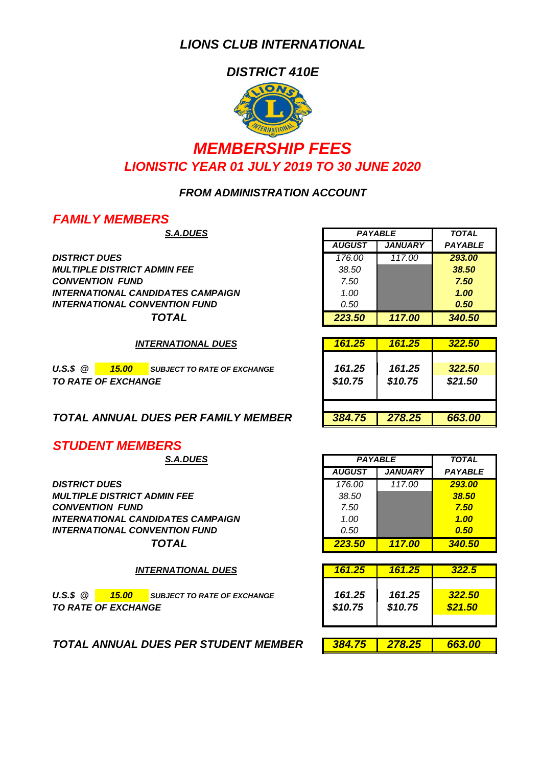*DISTRICT 410E*



# *MEMBERSHIP FEES LIONISTIC YEAR 01 JULY 2019 TO 30 JUNE 2020*

#### *FROM ADMINISTRATION ACCOUNT*

### *FAMILY MEMBERS*

 $DISTRICT DUES$ *MULTIPLE DISTRICT ADMIN FEE 38.50 38.50 CONVENTION FUND 7.50 7.50 INTERNATIONAL CANDIDATES CAMPAIGN 1.00 1.00 INTERNATIONAL CONVENTION FUND 0.50 0.50*

*INTERNATIONAL DUES*

*U.S.\$ @ 15.00 SUBJECT TO RATE OF EXCHANGE 161.25 161.25 322.50 TO RATE OF EXCHANGE \$10.75 \$10.75 \$21.50*

*TOTAL ANNUAL DUES PER FAMILY MEMBER 384.75 278.25 663.00*

*STUDENT MEMBERS*

 $DISTRICT DUES$ *MULTIPLE DISTRICT ADMIN FEE 38.50 38.50 CONVENTION FUND INTERNATIONAL CANDIDATES CAMPAIGN 1.00 1.00 INTERNATIONAL CONVENTION FUND 0.50 0.50*

*INTERNATIONAL DUES*

*U.S.\$ @ 15.00 SUBJECT TO RATE OF EXCHANGE 161.25 161.25 322.50* **70 RATE OF EXCHANGE** 

*TOTAL ANNUAL DUES PER STUDENT MEMBER 384.75 278.25 663.00*

| <b>S.A.DUES</b>         | <b>PAYABLE</b> | <b>TOTAL</b>   |                |
|-------------------------|----------------|----------------|----------------|
|                         | <b>AUGUST</b>  | <b>JANUARY</b> | <b>PAYABLE</b> |
|                         | 176.00         | 117.00         | 293.00         |
| <b>DMIN FEE</b>         | 38.50          |                | 38.50          |
|                         | 7.50           |                | 7.50           |
| <b>DIDATES CAMPAIGN</b> | 1.00           |                | 1.00           |
| VENTION FUND            | 0.50           |                | 0.50           |
| <b>TOTAL</b>            | 223.50         | 117.00         | 340.50         |

| 322.50<br>\$21.50 |
|-------------------|
| 663.00            |
|                   |

| <b>S.A.DUES</b>  | <b>PAYABLE</b> |                | <b>TOTAL</b>   |
|------------------|----------------|----------------|----------------|
|                  | <b>AUGUST</b>  | <b>JANUARY</b> | <b>PAYABLE</b> |
|                  | 176.00         | 117.00         | 293.00         |
| <b>DMIN FEE</b>  | 38.50          |                | 38.50          |
|                  | 7.50           |                | 7.50           |
| DIDATES CAMPAIGN | 1.00           |                | 1.00           |
| VENTION FUND     | 0.50           |                | 0.50           |
| <b>TOTAL</b>     | 223.50         | 117.00         | 340.50         |

| 161.25  | 161.25  | 322.5   |
|---------|---------|---------|
| 161.25  | 161.25  | 322.50  |
| \$10.75 | \$10.75 | \$21.50 |

|--|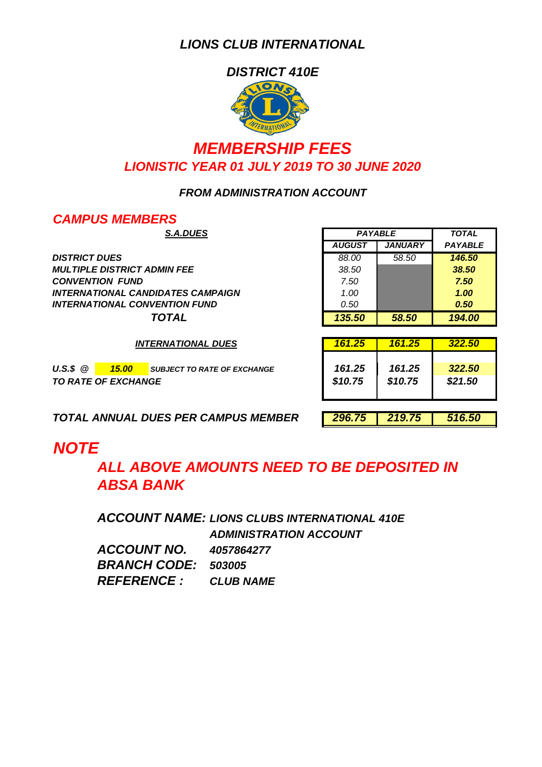*DISTRICT 410E* **IONS** 

## *LIONISTIC YEAR 01 JULY 2019 TO 30 JUNE 2020 MEMBERSHIP FEES*

### *FROM ADMINISTRATION ACCOUNT*

### *CAMPUS MEMBERS*

*DISTRICT DUES 88.00 58.50 146.50 MULTIPLE DISTRICT ADMIN FEE 38.50 38.50 CONVENTION FUND 7.50 7.50 INTERNATIONAL CANDIDATES CAMPAIGN 1.00 1.00 INTERNATIONAL CONVENTION FUND 0.50 0.50*

*INTERNATIONAL DUES*

*U.S.\$ @ 15.00 SUBJECT TO RATE OF EXCHANGE 161.25 161.25 322.50 TO RATE OF EXCHANGE \$10.75 \$10.75 \$21.50*

|                            |                |                | <b>TOTAL</b>   |
|----------------------------|----------------|----------------|----------------|
| <b>S.A.DUES</b>            | <b>PAYABLE</b> |                |                |
|                            | <b>AUGUST</b>  | <b>JANUARY</b> | <b>PAYABLE</b> |
|                            | 88.00          | 58.50          | 146.50         |
| <i><b>DMIN FEE</b></i>     | 38.50          |                | 38.50          |
|                            | 7.50           |                | 7.50           |
| DIDATES CAMPAIGN           | 1.00           |                | 1.00           |
| <i><b>VENTION FUND</b></i> | 0.50           |                | 0.50           |
| <b>TOTAL</b>               | 135.50         | 58.50          | 194.00         |

| 161.25  | 161.25  | 322.50  |
|---------|---------|---------|
| 161.25  | 161.25  | 322.50  |
| \$10.75 | \$10.75 | \$21.50 |

*TOTAL ANNUAL DUES PER CAMPUS MEMBER 296.75 219.75 516.50*

# *NOTE*

*ALL ABOVE AMOUNTS NEED TO BE DEPOSITED IN ABSA BANK*

*ACCOUNT NAME: LIONS CLUBS INTERNATIONAL 410E ADMINISTRATION ACCOUNT ACCOUNT NO. BRANCH CODE: 503005 REFERENCE : CLUB NAME 4057864277*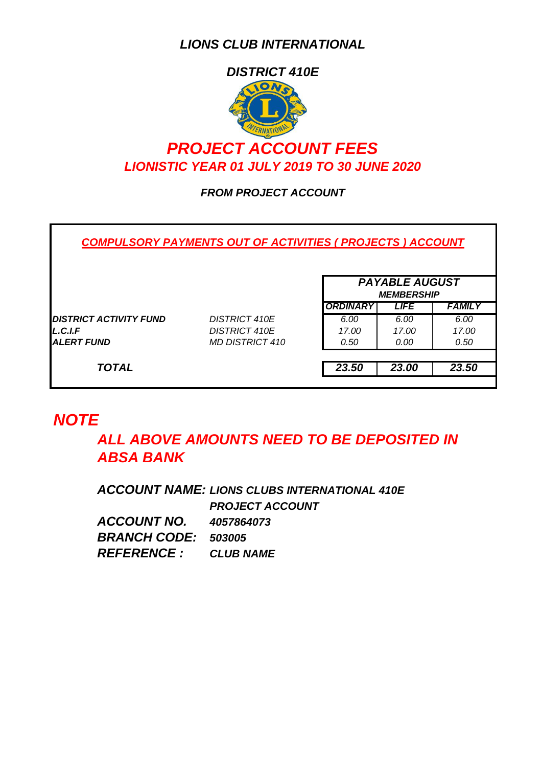

## *PROJECT ACCOUNT FEES LIONISTIC YEAR 01 JULY 2019 TO 30 JUNE 2020*

### *FROM PROJECT ACCOUNT*

*COMPULSORY PAYMENTS OUT OF ACTIVITIES ( PROJECTS ) ACCOUNT*

|                               |                      | <b>PAYABLE AUGUST</b><br><b>MEMBERSHIP</b> |             |               |
|-------------------------------|----------------------|--------------------------------------------|-------------|---------------|
|                               |                      | <b>ORDINARY</b>                            | <b>LIFE</b> | <b>FAMILY</b> |
| <b>DISTRICT ACTIVITY FUND</b> | <b>DISTRICT 410E</b> | 6.00                                       | 6.00        | 6.00          |
| L.C.I.F                       | <b>DISTRICT 410E</b> | 17.00                                      | 17.00       | 17.00         |
| ALERT FUND                    | MD DISTRICT 410      | 0.50                                       | 0.00        | 0.50          |
|                               |                      |                                            |             |               |
| <b>TOTAL</b>                  |                      | 23.50                                      | 23.00       | 23.50         |

## *NOTE*

*ALL ABOVE AMOUNTS NEED TO BE DEPOSITED IN ABSA BANK*

*ACCOUNT NAME: LIONS CLUBS INTERNATIONAL 410E PROJECT ACCOUNT ACCOUNT NO. BRANCH CODE: 503005 REFERENCE : CLUB NAME 4057864073*